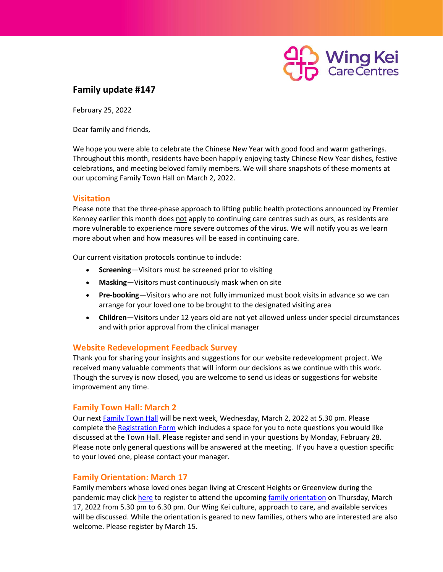

# **Family update #147**

February 25, 2022

Dear family and friends,

We hope you were able to celebrate the Chinese New Year with good food and warm gatherings. Throughout this month, residents have been happily enjoying tasty Chinese New Year dishes, festive celebrations, and meeting beloved family members. We will share snapshots of these moments at our upcoming Family Town Hall on March 2, 2022.

### **Visitation**

Please note that the three-phase approach to lifting public health protections announced by Premier Kenney earlier this month does not apply to continuing care centres such as ours, as residents are more vulnerable to experience more severe outcomes of the virus. We will notify you as we learn more about when and how measures will be eased in continuing care.

Our current visitation protocols continue to include:

- **Screening**—Visitors must be screened prior to visiting
- **Masking**—Visitors must continuously mask when on site
- **Pre-booking**—Visitors who are not fully immunized must book visits in advance so we can arrange for your loved one to be brought to the designated visiting area
- **Children**—Visitors under 12 years old are not yet allowed unless under special circumstances and with prior approval from the clinical manager

#### **Website Redevelopment Feedback Survey**

Thank you for sharing your insights and suggestions for our website redevelopment project. We received many valuable comments that will inform our decisions as we continue with this work. Though the survey is now closed, you are welcome to send us ideas or suggestions for website improvement any time.

#### **Family Town Hall: March 2**

Our next [Family Town Hall](https://docs.google.com/forms/d/e/1FAIpQLSeS9JI7KA3bimcUBE_ajIbFQGuWeSViAxS_JdHgrbOuRpxeZQ/viewform?usp=sf_link) will be next week, Wednesday, March 2, 2022 at 5.30 pm. Please complete the [Registration Form](https://docs.google.com/forms/d/e/1FAIpQLSeS9JI7KA3bimcUBE_ajIbFQGuWeSViAxS_JdHgrbOuRpxeZQ/viewform?usp=sf_link) which includes a space for you to note questions you would like discussed at the Town Hall. Please register and send in your questions by Monday, February 28. Please note only general questions will be answered at the meeting. If you have a question specific to your loved one, please contact your manager.

#### **Family Orientation: March 17**

Family members whose loved ones began living at Crescent Heights or Greenview during the pandemic may clic[k here](https://docs.google.com/forms/d/e/1FAIpQLSd6K9aLOT2aqwkv-yMPck4JH061sDzQuD2qMjNv_5cMyfjGog/viewform?usp=sf_link) to register to attend the upcoming [family orientation](https://docs.google.com/forms/d/e/1FAIpQLSd6K9aLOT2aqwkv-yMPck4JH061sDzQuD2qMjNv_5cMyfjGog/viewform?usp=sf_link) on Thursday, March 17, 2022 from 5.30 pm to 6.30 pm. Our Wing Kei culture, approach to care, and available services will be discussed. While the orientation is geared to new families, others who are interested are also welcome. Please register by March 15.